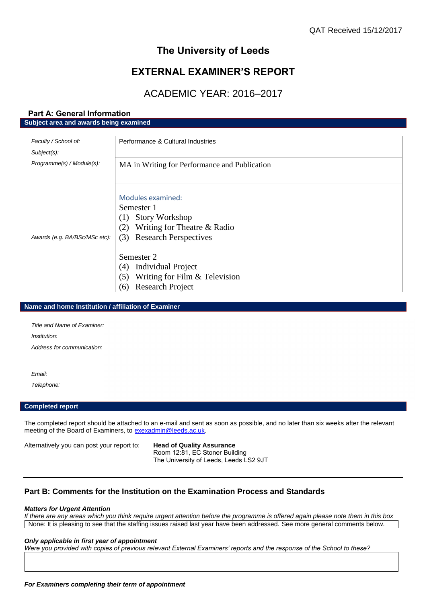## **The University of Leeds**

## **EXTERNAL EXAMINER'S REPORT**

## ACADEMIC YEAR: 2016–2017

## **Part A: General Information Subject area and awards being examined**

| Faculty / School of:          | Performance & Cultural Industries             |
|-------------------------------|-----------------------------------------------|
| $Subject(s)$ :                |                                               |
| Programme(s) / Module(s):     | MA in Writing for Performance and Publication |
|                               |                                               |
|                               |                                               |
|                               | Modules examined:                             |
|                               | Semester 1                                    |
|                               | <b>Story Workshop</b><br>(1)                  |
|                               | Writing for Theatre & Radio<br>(2)            |
| Awards (e.g. BA/BSc/MSc etc): | <b>Research Perspectives</b><br>(3)           |
|                               |                                               |
|                               | Semester 2                                    |
|                               | Individual Project<br>(4)                     |
|                               | Writing for Film $&$ Television<br>(5)        |
|                               | <b>Research Project</b><br>(6)                |

### **Name and home Institution / affiliation of Examiner**

| Title and Name of Examiner. |  |
|-----------------------------|--|
| Institution:                |  |
| Address for communication:  |  |

*Email:*

*Telephone:*

## **Completed report**

The completed report should be attached to an e-mail and sent as soon as possible, and no later than six weeks after the relevant meeting of the Board of Examiners, to [exexadmin@leeds.ac.uk.](mailto:exexadmin@leeds.ac.uk)

Alternatively you can post your report to: **Head of Quality Assurance**

Room 12:81, EC Stoner Building The University of Leeds, Leeds LS2 9JT

## **Part B: Comments for the Institution on the Examination Process and Standards**

#### *Matters for Urgent Attention*

*If there are any areas which you think require urgent attention before the programme is offered again please note them in this box* None: It is pleasing to see that the staffing issues raised last year have been addressed. See more general comments below.

#### *Only applicable in first year of appointment*

*Were you provided with copies of previous relevant External Examiners' reports and the response of the School to these?*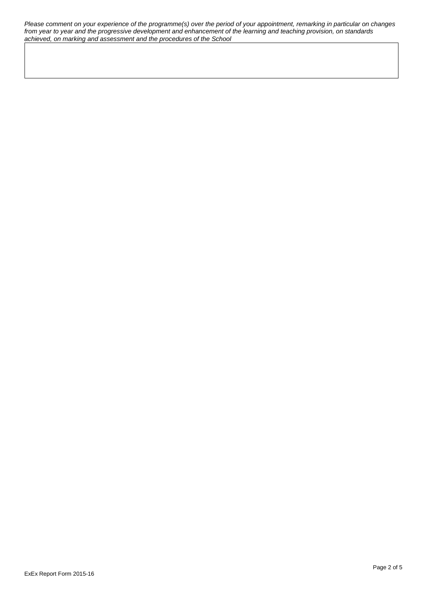*Please comment on your experience of the programme(s) over the period of your appointment, remarking in particular on changes from year to year and the progressive development and enhancement of the learning and teaching provision, on standards achieved, on marking and assessment and the procedures of the School*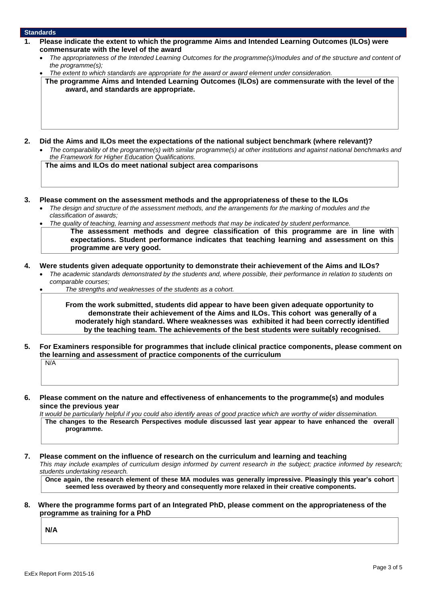#### **Standards**

- **1. Please indicate the extent to which the programme Aims and Intended Learning Outcomes (ILOs) were commensurate with the level of the award**
	- *The appropriateness of the Intended Learning Outcomes for the programme(s)/modules and of the structure and content of the programme(s);*
	- *The extent to which standards are appropriate for the award or award element under consideration.*

**The programme Aims and Intended Learning Outcomes (ILOs) are commensurate with the level of the award, and standards are appropriate.**

- **2. Did the Aims and ILOs meet the expectations of the national subject benchmark (where relevant)?**
	- *The comparability of the programme(s) with similar programme(s) at other institutions and against national benchmarks and the Framework for Higher Education Qualifications.*

**The aims and ILOs do meet national subject area comparisons**

- **3. Please comment on the assessment methods and the appropriateness of these to the ILOs**
	- *The design and structure of the assessment methods, and the arrangements for the marking of modules and the classification of awards;*
	- *The quality of teaching, learning and assessment methods that may be indicated by student performance.*

**The assessment methods and degree classification of this programme are in line with expectations. Student performance indicates that teaching learning and assessment on this programme are very good.**

- **4. Were students given adequate opportunity to demonstrate their achievement of the Aims and ILOs?**
	- *The academic standards demonstrated by the students and, where possible, their performance in relation to students on comparable courses;*

*The strengths and weaknesses of the students as a cohort.*

**From the work submitted, students did appear to have been given adequate opportunity to demonstrate their achievement of the Aims and ILOs. This cohort was generally of a moderately high standard. Where weaknesses was exhibited it had been correctly identified by the teaching team. The achievements of the best students were suitably recognised.** 

- **5. For Examiners responsible for programmes that include clinical practice components, please comment on the learning and assessment of practice components of the curriculum** N/A
- **6. Please comment on the nature and effectiveness of enhancements to the programme(s) and modules since the previous year**

*It would be particularly helpful if you could also identify areas of good practice which are worthy of wider dissemination.*  **The changes to the Research Perspectives module discussed last year appear to have enhanced the overall programme.** 

**7. Please comment on the influence of research on the curriculum and learning and teaching**

*This may include examples of curriculum design informed by current research in the subject; practice informed by research; students undertaking research.* 

**Once again, the research element of these MA modules was generally impressive. Pleasingly this year's cohort seemed less overawed by theory and consequently more relaxed in their creative components.**

**8. Where the programme forms part of an Integrated PhD, please comment on the appropriateness of the programme as training for a PhD**

**N/A**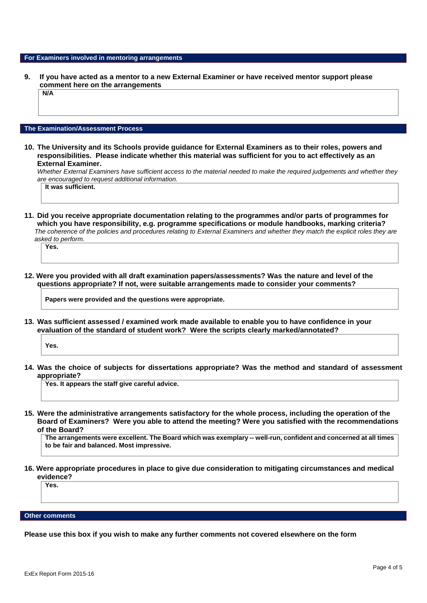#### **For Examiners involved in mentoring arrangements**

**9. If you have acted as a mentor to a new External Examiner or have received mentor support please comment here on the arrangements N/A**

## **The Examination/Assessment Process**

**10. The University and its Schools provide guidance for External Examiners as to their roles, powers and responsibilities. Please indicate whether this material was sufficient for you to act effectively as an External Examiner.**

*Whether External Examiners have sufficient access to the material needed to make the required judgements and whether they are encouraged to request additional information.*

**It was sufficient.**

**11. Did you receive appropriate documentation relating to the programmes and/or parts of programmes for which you have responsibility, e.g. programme specifications or module handbooks, marking criteria?** *The coherence of the policies and procedures relating to External Examiners and whether they match the explicit roles they are asked to perform.* 

**Yes.**

**12. Were you provided with all draft examination papers/assessments? Was the nature and level of the questions appropriate? If not, were suitable arrangements made to consider your comments?**

**Papers were provided and the questions were appropriate.**

**13. Was sufficient assessed / examined work made available to enable you to have confidence in your evaluation of the standard of student work? Were the scripts clearly marked/annotated?** 

**Yes.**

**14. Was the choice of subjects for dissertations appropriate? Was the method and standard of assessment appropriate?**

**Yes. It appears the staff give careful advice.**

**15. Were the administrative arrangements satisfactory for the whole process, including the operation of the Board of Examiners? Were you able to attend the meeting? Were you satisfied with the recommendations of the Board?**

**The arrangements were excellent. The Board which was exemplary -- well-run, confident and concerned at all times to be fair and balanced. Most impressive.**

**16. Were appropriate procedures in place to give due consideration to mitigating circumstances and medical evidence?**

**Yes.**

**Other comments**

**Please use this box if you wish to make any further comments not covered elsewhere on the form**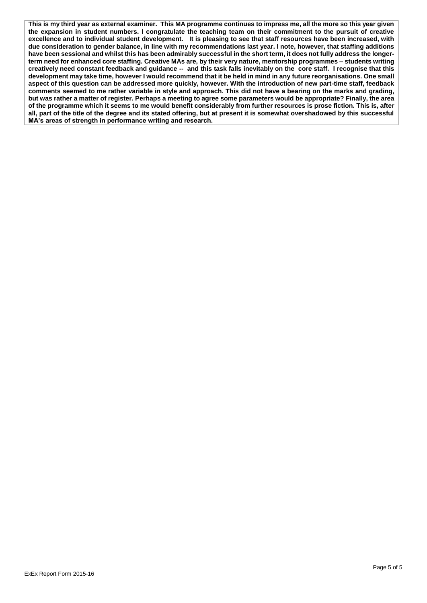**This is my third year as external examiner. This MA programme continues to impress me, all the more so this year given the expansion in student numbers. I congratulate the teaching team on their commitment to the pursuit of creative excellence and to individual student development. It is pleasing to see that staff resources have been increased, with due consideration to gender balance, in line with my recommendations last year. I note, however, that staffing additions have been sessional and whilst this has been admirably successful in the short term, it does not fully address the longerterm need for enhanced core staffing. Creative MAs are, by their very nature, mentorship programmes – students writing creatively need constant feedback and guidance -- and this task falls inevitably on the core staff. I recognise that this development may take time, however I would recommend that it be held in mind in any future reorganisations. One small aspect of this question can be addressed more quickly, however. With the introduction of new part-time staff, feedback comments seemed to me rather variable in style and approach. This did not have a bearing on the marks and grading, but was rather a matter of register. Perhaps a meeting to agree some parameters would be appropriate? Finally, the area of the programme which it seems to me would benefit considerably from further resources is prose fiction. This is, after all, part of the title of the degree and its stated offering, but at present it is somewhat overshadowed by this successful MA's areas of strength in performance writing and research.**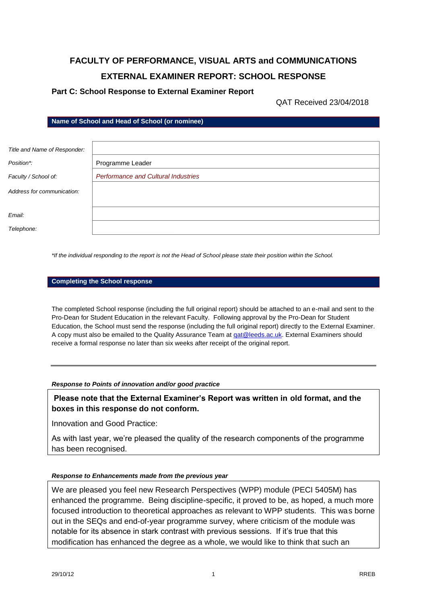# **FACULTY OF PERFORMANCE, VISUAL ARTS and COMMUNICATIONS EXTERNAL EXAMINER REPORT: SCHOOL RESPONSE**

## **Part C: School Response to External Examiner Report**

QAT Received 23/04/2018

**Name of School and Head of School (or nominee)**

| Title and Name of Responder: |                                            |
|------------------------------|--------------------------------------------|
| Position*:                   | Programme Leader                           |
| Faculty / School of:         | <b>Performance and Cultural Industries</b> |
| Address for communication:   |                                            |
| Email:                       |                                            |
| Telephone:                   |                                            |

*\*If the individual responding to the report is not the Head of School please state their position within the School.*

#### **Completing the School response**

The completed School response (including the full original report) should be attached to an e-mail and sent to the Pro-Dean for Student Education in the relevant Faculty. Following approval by the Pro-Dean for Student Education, the School must send the response (including the full original report) directly to the External Examiner. A copy must also be emailed to the Quality Assurance Team a[t qat@leeds.ac.uk.](mailto:qat@leeds.ac.uk) External Examiners should receive a formal response no later than six weeks after receipt of the original report.

*Response to Points of innovation and/or good practice*

**Please note that the External Examiner's Report was written in old format, and the boxes in this response do not conform.** 

Innovation and Good Practice:

As with last year, we're pleased the quality of the research components of the programme has been recognised.

### *Response to Enhancements made from the previous year*

We are pleased you feel new Research Perspectives (WPP) module (PECI 5405M) has enhanced the programme. Being discipline-specific, it proved to be, as hoped, a much more focused introduction to theoretical approaches as relevant to WPP students. This was borne out in the SEQs and end-of-year programme survey, where criticism of the module was notable for its absence in stark contrast with previous sessions. If it's true that this modification has enhanced the degree as a whole, we would like to think that such an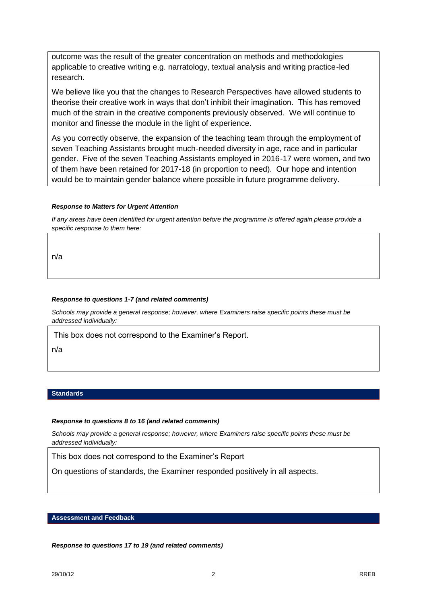outcome was the result of the greater concentration on methods and methodologies applicable to creative writing e.g. narratology, textual analysis and writing practice-led research.

We believe like you that the changes to Research Perspectives have allowed students to theorise their creative work in ways that don't inhibit their imagination. This has removed much of the strain in the creative components previously observed. We will continue to monitor and finesse the module in the light of experience.

As you correctly observe, the expansion of the teaching team through the employment of seven Teaching Assistants brought much-needed diversity in age, race and in particular gender. Five of the seven Teaching Assistants employed in 2016-17 were women, and two of them have been retained for 2017-18 (in proportion to need). Our hope and intention would be to maintain gender balance where possible in future programme delivery.

### *Response to Matters for Urgent Attention*

*If any areas have been identified for urgent attention before the programme is offered again please provide a specific response to them here:*

n/a

#### *Response to questions 1-7 (and related comments)*

*Schools may provide a general response; however, where Examiners raise specific points these must be addressed individually:*

This box does not correspond to the Examiner's Report.

n/a

### **Standards**

#### *Response to questions 8 to 16 (and related comments)*

*Schools may provide a general response; however, where Examiners raise specific points these must be addressed individually:*

This box does not correspond to the Examiner's Report

On questions of standards, the Examiner responded positively in all aspects.

### **Assessment and Feedback**

*Response to questions 17 to 19 (and related comments)*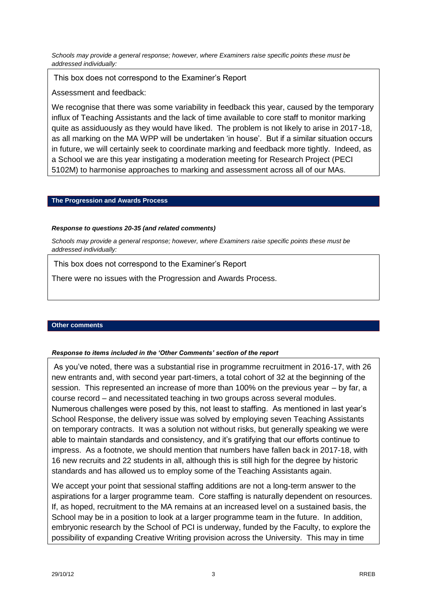*Schools may provide a general response; however, where Examiners raise specific points these must be addressed individually:*

This box does not correspond to the Examiner's Report

Assessment and feedback:

We recognise that there was some variability in feedback this year, caused by the temporary influx of Teaching Assistants and the lack of time available to core staff to monitor marking quite as assiduously as they would have liked. The problem is not likely to arise in 2017-18, as all marking on the MA WPP will be undertaken 'in house'. But if a similar situation occurs in future, we will certainly seek to coordinate marking and feedback more tightly. Indeed, as a School we are this year instigating a moderation meeting for Research Project (PECI 5102M) to harmonise approaches to marking and assessment across all of our MAs.

## **The Progression and Awards Process**

## *Response to questions 20-35 (and related comments)*

*Schools may provide a general response; however, where Examiners raise specific points these must be addressed individually:*

This box does not correspond to the Examiner's Report

There were no issues with the Progression and Awards Process.

## **Other comments**

## *Response to items included in the 'Other Comments' section of the report*

As you've noted, there was a substantial rise in programme recruitment in 2016-17, with 26 new entrants and, with second year part-timers, a total cohort of 32 at the beginning of the session. This represented an increase of more than 100% on the previous year – by far, a course record – and necessitated teaching in two groups across several modules. Numerous challenges were posed by this, not least to staffing. As mentioned in last year's School Response, the delivery issue was solved by employing seven Teaching Assistants on temporary contracts. It was a solution not without risks, but generally speaking we were able to maintain standards and consistency, and it's gratifying that our efforts continue to impress. As a footnote, we should mention that numbers have fallen back in 2017-18, with 16 new recruits and 22 students in all, although this is still high for the degree by historic standards and has allowed us to employ some of the Teaching Assistants again.

We accept your point that sessional staffing additions are not a long-term answer to the aspirations for a larger programme team. Core staffing is naturally dependent on resources. If, as hoped, recruitment to the MA remains at an increased level on a sustained basis, the School may be in a position to look at a larger programme team in the future. In addition, embryonic research by the School of PCI is underway, funded by the Faculty, to explore the possibility of expanding Creative Writing provision across the University. This may in time